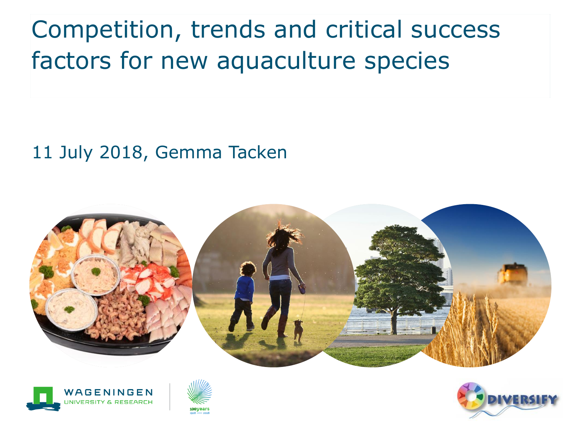Competition, trends and critical success factors for new aquaculture species

#### 11 July 2018, Gemma Tacken







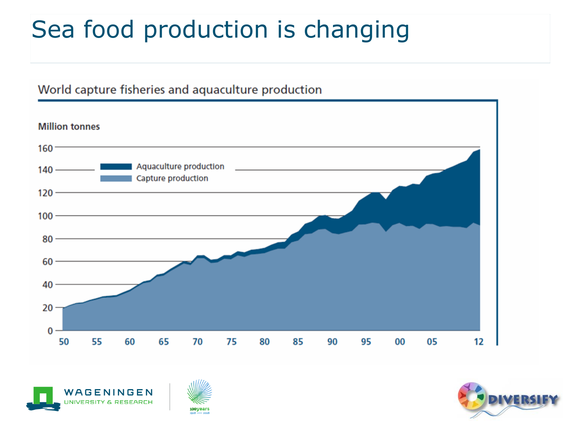## Sea food production is changing

#### World capture fisheries and aquaculture production







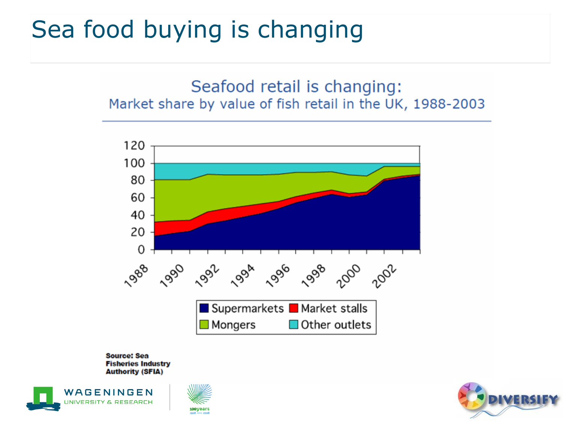#### Sea food buying is changing

#### Seafood retail is changing: Market share by value of fish retail in the UK, 1988-2003



**Source: Sea Fisheries Industry Authority (SFIA)** 





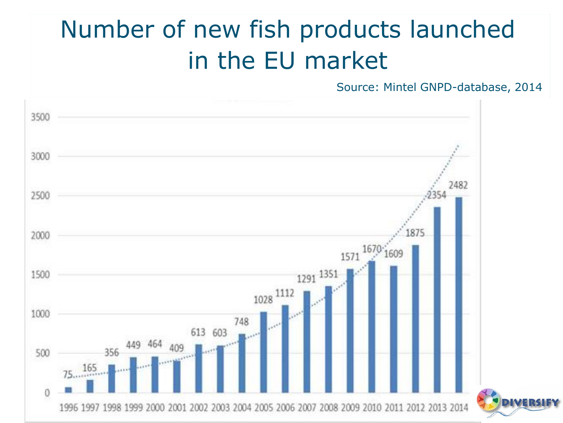## Number of new fish products launched in the EU market

Source: Mintel GNPD-database, 2014

4

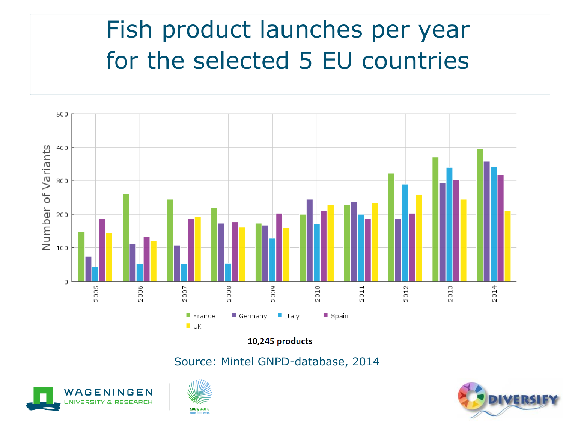### Fish product launches per year for the selected 5 EU countries



10,245 products

Source: Mintel GNPD-database, 2014





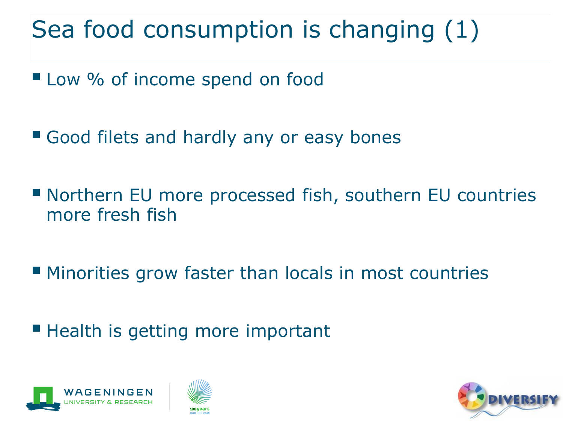## Sea food consumption is changing (1)

- Low % of income spend on food
- **E** Good filets and hardly any or easy bones
- Northern EU more processed fish, southern EU countries more fresh fish
- Minorities grow faster than locals in most countries
- Health is getting more important





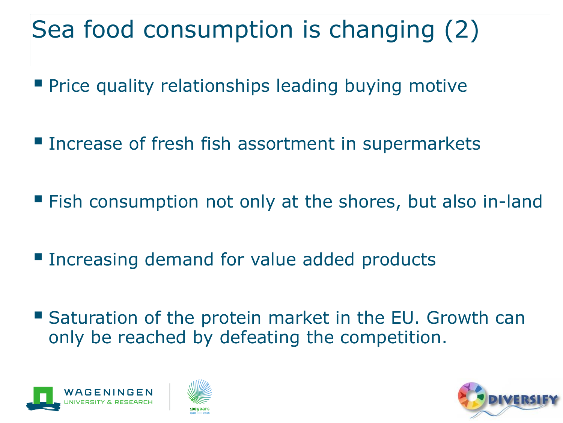# Sea food consumption is changing (2)

- **Price quality relationships leading buying motive**
- **Increase of fresh fish assortment in supermarkets**
- Fish consumption not only at the shores, but also in-land
- **Increasing demand for value added products**
- Saturation of the protein market in the EU. Growth can only be reached by defeating the competition.





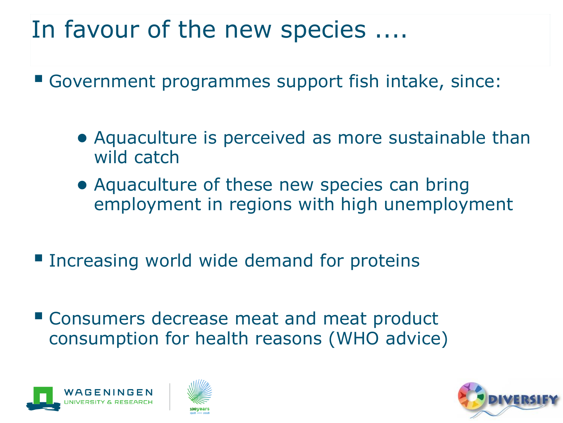#### In favour of the new species ....

▪ Government programmes support fish intake, since:

- Aquaculture is perceived as more sustainable than wild catch
- Aquaculture of these new species can bring employment in regions with high unemployment
- **Increasing world wide demand for proteins**
- Consumers decrease meat and meat product consumption for health reasons (WHO advice)





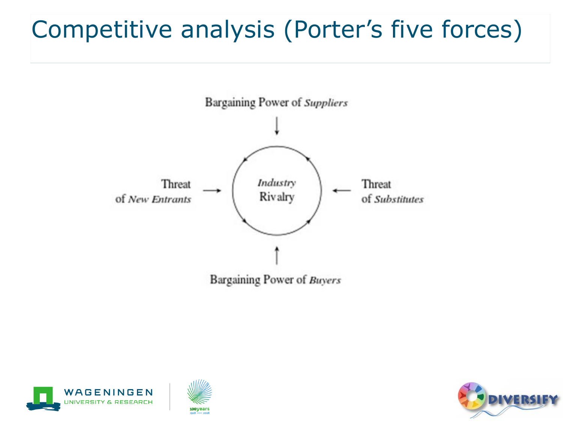### Competitive analysis (Porter's five forces)







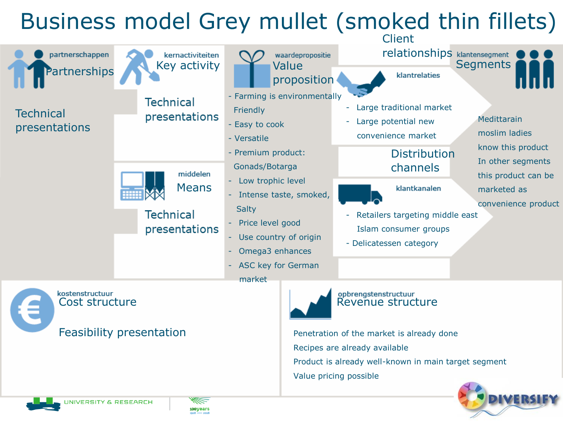#### Business model Grey mullet (smoked thin fillets)



Value pricing possible

**NIVERSITY & RESEARCH** 

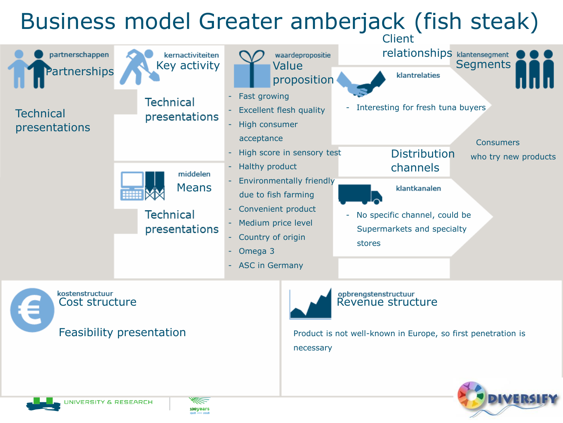#### Business model Greater amberjack (fish steak)



kostenstructuur kostenstructuur<br>Cost structure et al. et al. et al. et al. et al. et al. et al. et al. et al. et al. et al. et al. et al. et a Feasibility presentation

Product is not well-known in Europe, so first penetration is necessary



**NIVERSITY & RESEARCH** 

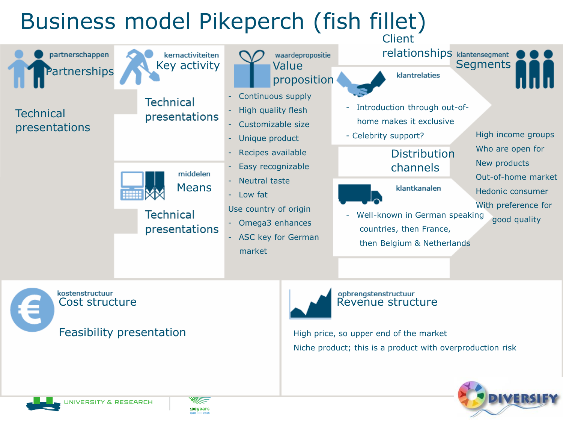

kostenstructuur kostenstructuur<br>Cost structure enter a magazine structure and a Revenue structure Feasibility presentation



High price, so upper end of the market Niche product; this is a product with overproduction risk



**NIVERSITY & RESEARCH** 

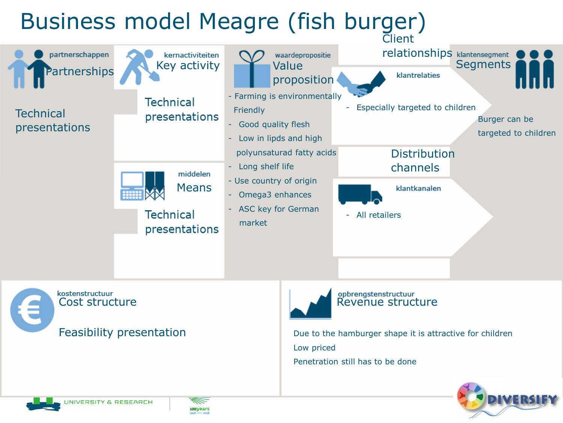

kostenstructuur kostenstructuur<br>Cost structure et al. et al. et al. et al. et al. et al. et al. et al. et al. et al. et al. et al. et al. et a Feasibility presentation



Due to the hamburger shape it is attractive for children Low priced Penetration still has to be done





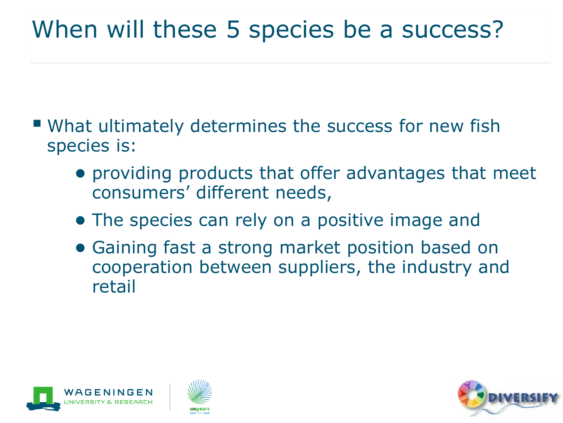#### When will these 5 species be a success?

- What ultimately determines the success for new fish species is:
	- providing products that offer advantages that meet consumers' different needs,
	- The species can rely on a positive image and
	- Gaining fast a strong market position based on cooperation between suppliers, the industry and retail